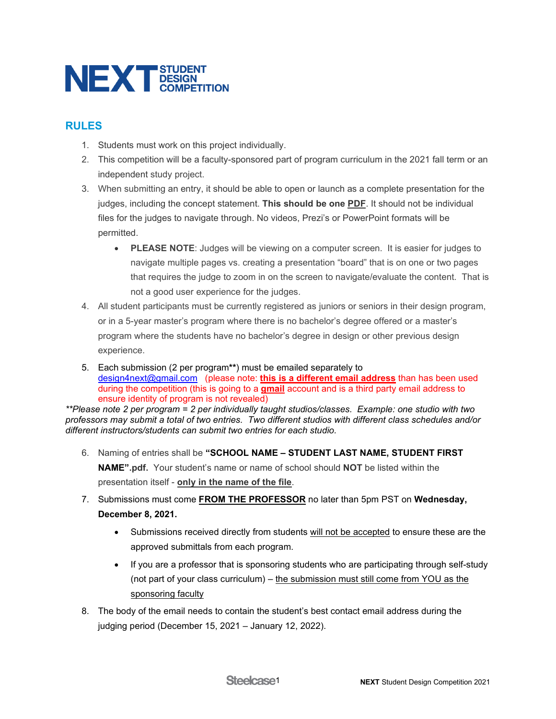

## **RULES**

- 1. Students must work on this project individually.
- 2. This competition will be a faculty-sponsored part of program curriculum in the 2021 fall term or an independent study project.
- 3. When submitting an entry, it should be able to open or launch as a complete presentation for the judges, including the concept statement. **This should be one PDF**. It should not be individual files for the judges to navigate through. No videos, Prezi's or PowerPoint formats will be permitted.
	- **PLEASE NOTE**: Judges will be viewing on a computer screen. It is easier for judges to navigate multiple pages vs. creating a presentation "board" that is on one or two pages that requires the judge to zoom in on the screen to navigate/evaluate the content. That is not a good user experience for the judges.
- 4. All student participants must be currently registered as juniors or seniors in their design program, or in a 5-year master's program where there is no bachelor's degree offered or a master's program where the students have no bachelor's degree in design or other previous design experience.
- 5. Each submission (2 per program**\*\***) must be emailed separately to [design4next@gmail.com](mailto:design4next@gmail.com) (please note: **this is a different email address** than has been used during the competition (this is going to a **gmail** account and is a third party email address to ensure identity of program is not revealed)

*\*\*Please note 2 per program = 2 per individually taught studios/classes. Example: one studio with two professors may submit a total of two entries. Two different studios with different class schedules and/or different instructors/students can submit two entries for each studio.*

- 6. Naming of entries shall be **"SCHOOL NAME – STUDENT LAST NAME, STUDENT FIRST NAME".pdf.** Your student's name or name of school should **NOT** be listed within the presentation itself - **only in the name of the file**.
- 7. Submissions must come **FROM THE PROFESSOR** no later than 5pm PST on **Wednesday, December 8, 2021.**
	- Submissions received directly from students will not be accepted to ensure these are the approved submittals from each program.
	- If you are a professor that is sponsoring students who are participating through self-study (not part of your class curriculum) – the submission must still come from YOU as the sponsoring faculty
- 8. The body of the email needs to contain the student's best contact email address during the judging period (December 15, 2021 – January 12, 2022).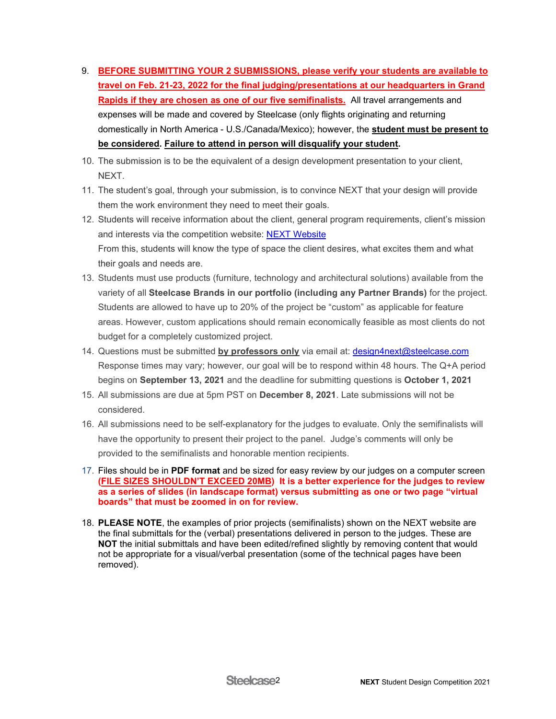- 9. **BEFORE SUBMITTING YOUR 2 SUBMISSIONS, please verify your students are available to travel on Feb. 21-23, 2022 for the final judging/presentations at our headquarters in Grand Rapids if they are chosen as one of our five semifinalists.** All travel arrangements and expenses will be made and covered by Steelcase (only flights originating and returning domestically in North America - U.S./Canada/Mexico); however, the **student must be present to be considered. Failure to attend in person will disqualify your student.**
- 10. The submission is to be the equivalent of a design development presentation to your client, NEXT.
- 11. The student's goal, through your submission, is to convince NEXT that your design will provide them the work environment they need to meet their goals.
- 12. Students will receive information about the client, general program requirements, client's mission and interests via the competition website: [NEXT Website](https://www.steelcase.com/discover/information/architects-and-designers/next-student-design-competition/) From this, students will know the type of space the client desires, what excites them and what their goals and needs are.
- 13. Students must use products (furniture, technology and architectural solutions) available from the variety of all **Steelcase Brands in our portfolio (including any Partner Brands)** for the project. Students are allowed to have up to 20% of the project be "custom" as applicable for feature areas. However, custom applications should remain economically feasible as most clients do not budget for a completely customized project.
- 14. Questions must be submitted **by professors only** via email at: [design4next@steelcase.com](mailto:design4next@steelcase.com)  Response times may vary; however, our goal will be to respond within 48 hours. The Q+A period begins on **September 13, 2021** and the deadline for submitting questions is **October 1, 2021**
- 15. All submissions are due at 5pm PST on **December 8, 2021**. Late submissions will not be considered.
- 16. All submissions need to be self-explanatory for the judges to evaluate. Only the semifinalists will have the opportunity to present their project to the panel. Judge's comments will only be provided to the semifinalists and honorable mention recipients.
- 17. Files should be in **PDF format** and be sized for easy review by our judges on a computer screen **(FILE SIZES SHOULDN'T EXCEED 20MB) It is a better experience for the judges to review as a series of slides (in landscape format) versus submitting as one or two page "virtual boards" that must be zoomed in on for review.**
- 18. **PLEASE NOTE**, the examples of prior projects (semifinalists) shown on the NEXT website are the final submittals for the (verbal) presentations delivered in person to the judges. These are **NOT** the initial submittals and have been edited/refined slightly by removing content that would not be appropriate for a visual/verbal presentation (some of the technical pages have been removed).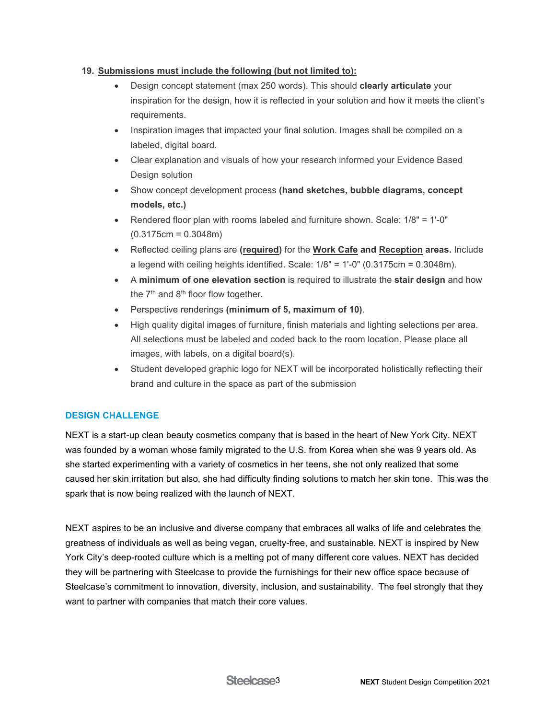## **19. Submissions must include the following (but not limited to):**

- Design concept statement (max 250 words). This should **clearly articulate** your inspiration for the design, how it is reflected in your solution and how it meets the client's requirements.
- Inspiration images that impacted your final solution. Images shall be compiled on a labeled, digital board.
- Clear explanation and visuals of how your research informed your Evidence Based Design solution
- Show concept development process **(hand sketches, bubble diagrams, concept models, etc.)**
- Rendered floor plan with rooms labeled and furniture shown. Scale: 1/8" = 1'-0" (0.3175cm = 0.3048m)
- Reflected ceiling plans are **(required)** for the **Work Cafe and Reception areas.** Include a legend with ceiling heights identified. Scale:  $1/8" = 1'-0"$  (0.3175cm = 0.3048m).
- A **minimum of one elevation section** is required to illustrate the **stair design** and how the  $7<sup>th</sup>$  and  $8<sup>th</sup>$  floor flow together.
- Perspective renderings **(minimum of 5, maximum of 10)**.
- High quality digital images of furniture, finish materials and lighting selections per area. All selections must be labeled and coded back to the room location. Please place all images, with labels, on a digital board(s).
- Student developed graphic logo for NEXT will be incorporated holistically reflecting their brand and culture in the space as part of the submission

## **DESIGN CHALLENGE**

NEXT is a start-up clean beauty cosmetics company that is based in the heart of New York City. NEXT was founded by a woman whose family migrated to the U.S. from Korea when she was 9 years old. As she started experimenting with a variety of cosmetics in her teens, she not only realized that some caused her skin irritation but also, she had difficulty finding solutions to match her skin tone. This was the spark that is now being realized with the launch of NEXT.

NEXT aspires to be an inclusive and diverse company that embraces all walks of life and celebrates the greatness of individuals as well as being vegan, cruelty-free, and sustainable. NEXT is inspired by New York City's deep-rooted culture which is a melting pot of many different core values. NEXT has decided they will be partnering with Steelcase to provide the furnishings for their new office space because of Steelcase's commitment to innovation, diversity, inclusion, and sustainability. The feel strongly that they want to partner with companies that match their core values.